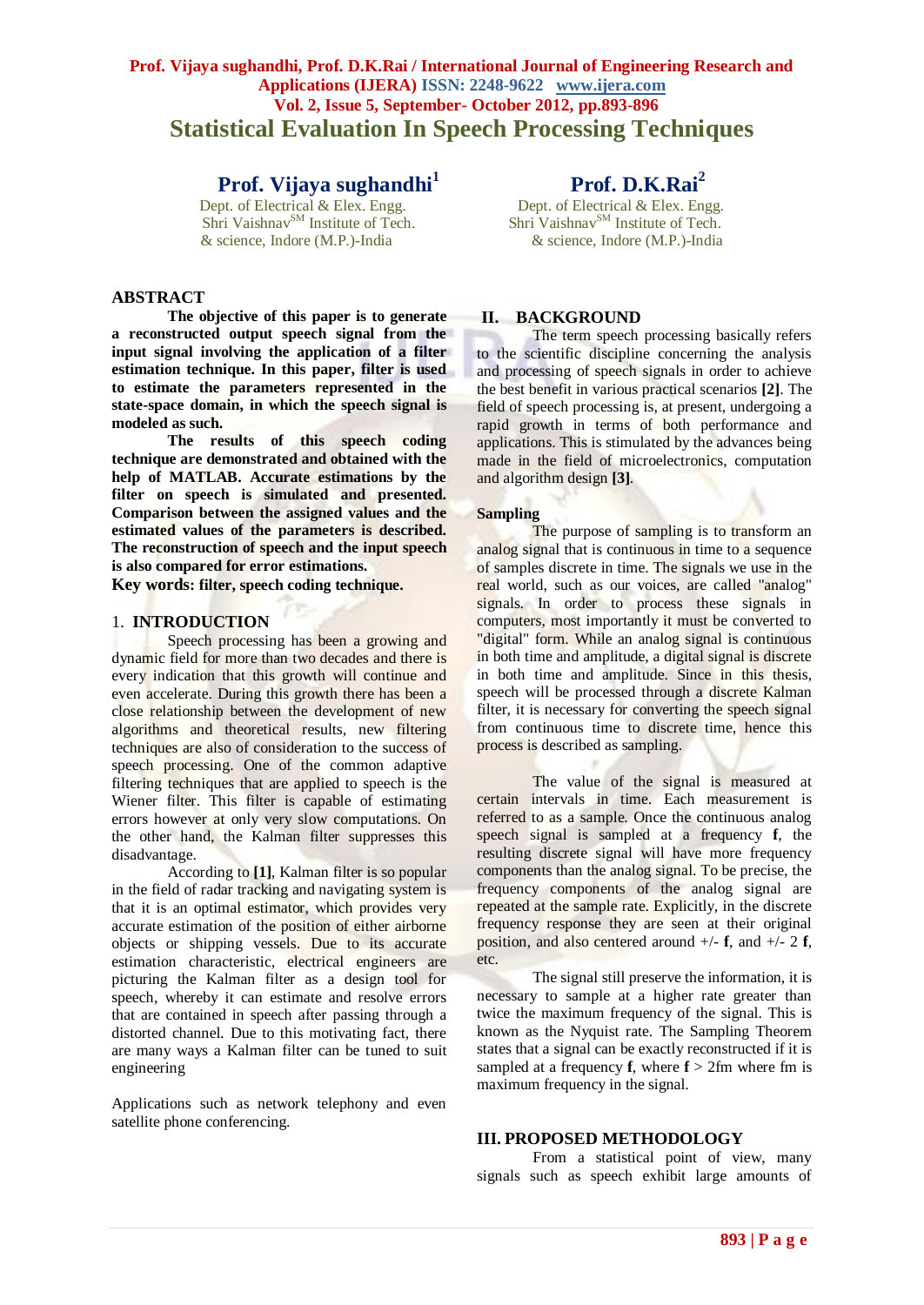# **Prof. Vijaya sughandhi, Prof. D.K.Rai / International Journal of Engineering Research and Applications (IJERA) ISSN: 2248-9622 www.ijera.com Vol. 2, Issue 5, September- October 2012, pp.893-896 Statistical Evaluation In Speech Processing Techniques**

# **Prof. Vijaya sughandhi<sup>1</sup>**

 $\text{Shri Vaishnav}^{\text{SM}}$  Institute of Tech.

# **ABSTRACT**

**The objective of this paper is to generate a reconstructed output speech signal from the input signal involving the application of a filter estimation technique. In this paper, filter is used to estimate the parameters represented in the state-space domain, in which the speech signal is modeled as such.**

**The results of this speech coding technique are demonstrated and obtained with the help of MATLAB. Accurate estimations by the filter on speech is simulated and presented. Comparison between the assigned values and the estimated values of the parameters is described. The reconstruction of speech and the input speech is also compared for error estimations.**

**Key words: filter, speech coding technique.**

## 1. **INTRODUCTION**

Speech processing has been a growing and dynamic field for more than two decades and there is every indication that this growth will continue and even accelerate. During this growth there has been a close relationship between the development of new algorithms and theoretical results, new filtering techniques are also of consideration to the success of speech processing. One of the common adaptive filtering techniques that are applied to speech is the Wiener filter. This filter is capable of estimating errors however at only very slow computations. On the other hand, the Kalman filter suppresses this disadvantage.

According to **[1]**, Kalman filter is so popular in the field of radar tracking and navigating system is that it is an optimal estimator, which provides very accurate estimation of the position of either airborne objects or shipping vessels. Due to its accurate estimation characteristic, electrical engineers are picturing the Kalman filter as a design tool for speech, whereby it can estimate and resolve errors that are contained in speech after passing through a distorted channel. Due to this motivating fact, there are many ways a Kalman filter can be tuned to suit engineering

Applications such as network telephony and even satellite phone conferencing.

**Prof. D.K.Rai**<sup>2</sup><br>Dept. of Electrical & Elex. Engg. Dept. of Electrical & Elex. Engg.<br>
Shri Vaishnav<sup>SM</sup> Institute of Tech.<br>
Shri Vaishnav<sup>SM</sup> Institute of Tech.<br>
Shri Vaishnav<sup>SM</sup> Institute of Tech. & science, Indore (M.P.)-India & science, Indore (M.P.)-India

#### **II. BACKGROUND**

The term speech processing basically refers to the scientific discipline concerning the analysis and processing of speech signals in order to achieve the best benefit in various practical scenarios **[2]**. The field of speech processing is, at present, undergoing a rapid growth in terms of both performance and applications. This is stimulated by the advances being made in the field of microelectronics, computation and algorithm design **[3]**.

#### **Sampling**

The purpose of sampling is to transform an analog signal that is continuous in time to a sequence of samples discrete in time. The signals we use in the real world, such as our voices, are called "analog" signals. In order to process these signals in computers, most importantly it must be converted to "digital" form. While an analog signal is continuous in both time and amplitude, a digital signal is discrete in both time and amplitude. Since in this thesis, speech will be processed through a discrete Kalman filter, it is necessary for converting the speech signal from continuous time to discrete time, hence this process is described as sampling.

The value of the signal is measured at certain intervals in time. Each measurement is referred to as a sample. Once the continuous analog speech signal is sampled at a frequency **f**, the resulting discrete signal will have more frequency components than the analog signal. To be precise, the frequency components of the analog signal are repeated at the sample rate. Explicitly, in the discrete frequency response they are seen at their original position, and also centered around +/- **f**, and +/- 2 **f**, etc.

The signal still preserve the information, it is necessary to sample at a higher rate greater than twice the maximum frequency of the signal. This is known as the Nyquist rate. The Sampling Theorem states that a signal can be exactly reconstructed if it is sampled at a frequency **f**, where  $f > 2$  fm where fm is maximum frequency in the signal.

#### **III. PROPOSED METHODOLOGY**

From a statistical point of view, many signals such as speech exhibit large amounts of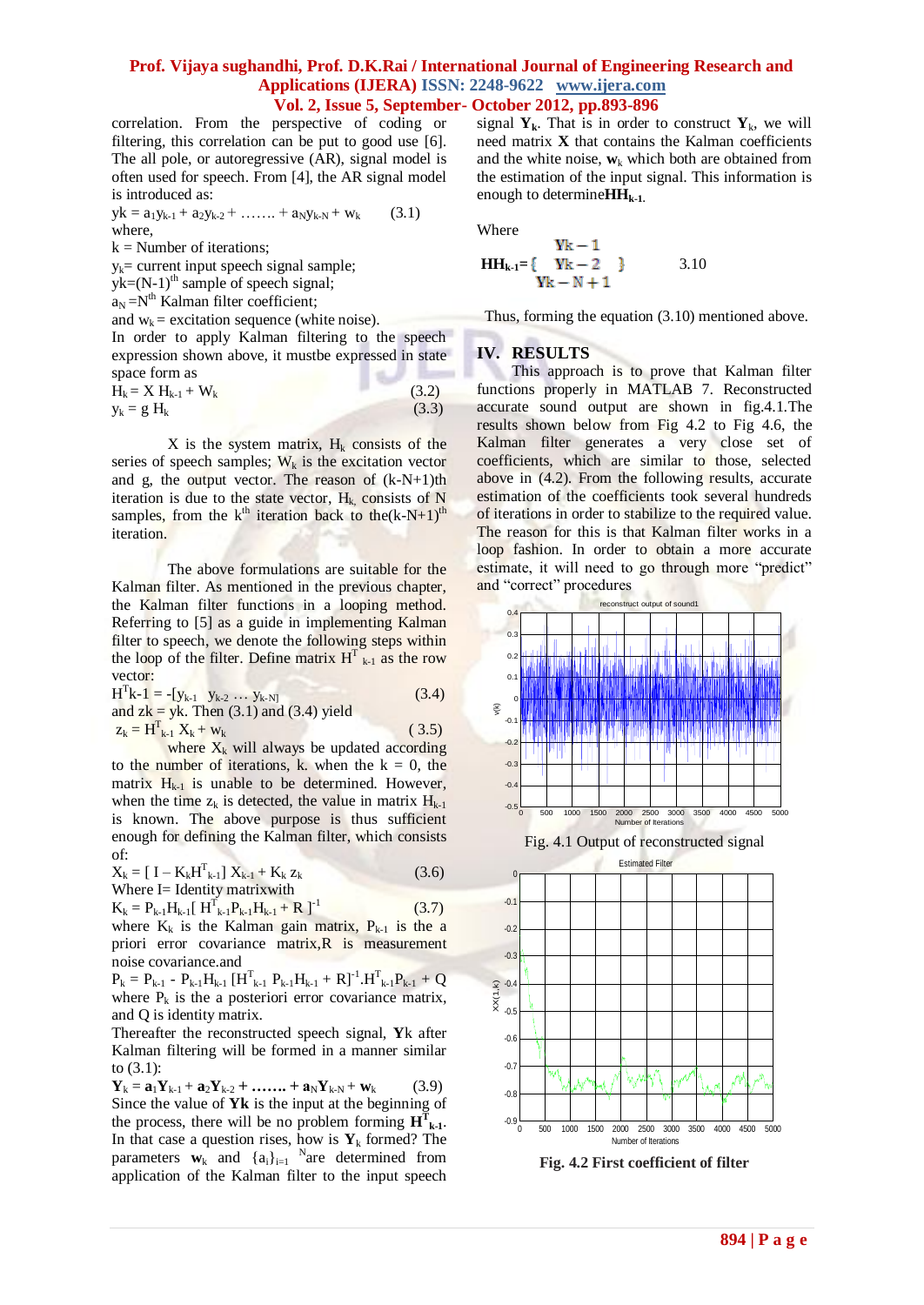#### **Prof. Vijaya sughandhi, Prof. D.K.Rai / International Journal of Engineering Research and Applications (IJERA) ISSN: 2248-9622 www.ijera.com Vol. 2, Issue 5, September- October 2012, pp.893-896**

correlation. From the perspective of coding or filtering, this correlation can be put to good use [6]. The all pole, or autoregressive (AR), signal model is often used for speech. From [4], the AR signal model is introduced as:

$$
yk = a_1y_{k-1} + a_2y_{k-2} + \dots + a_Ny_{k-N} + w_k \qquad (3.1)
$$
  
where,

 $k =$  Number of iterations:

 $y_k$ = current input speech signal sample;

 $yk=(N-1)$ <sup>th</sup> sample of speech signal;

 $a_N = N^{th}$  Kalman filter coefficient;

and  $w_k$  = excitation sequence (white noise).

In order to apply Kalman filtering to the speech expression shown above, it mustbe expressed in state space form as  $\sim$ 

$$
H_k = X H_{k-1} + W_k
$$
\n(3.2)  
\n
$$
y_k = g H_k
$$
\n(3.3)

X is the system matrix,  $H_k$  consists of the series of speech samples;  $W_k$  is the excitation vector and g, the output vector. The reason of  $(k-N+1)$ th iteration is due to the state vector,  $H_k$  consists of N samples, from the  $k<sup>th</sup>$  iteration back to the $(k-N+1)<sup>th</sup>$ iteration.

The above formulations are suitable for the Kalman filter. As mentioned in the previous chapter, the Kalman filter functions in a looping method. Referring to [5] as a guide in implementing Kalman filter to speech, we denote the following steps within the loop of the filter. Define matrix  $H_{k-1}^T$  as the row vector:

 $H^{T}k-1 = -[y_{k-1} \quad y_{k-2} \dots y_{k-N}]$  (3.4) and  $z\mathbf{k} = \mathbf{y}\mathbf{k}$ . Then (3.1) and (3.4) yield  $z_k = H_{k-1}^T X_k + w_k$  (3.5)

where  $X_k$  will always be updated according to the number of iterations, k. when the  $k = 0$ , the matrix  $H_{k-1}$  is unable to be determined. However, when the time  $z_k$  is detected, the value in matrix  $H_{k-1}$ is known. The above purpose is thus sufficient enough for defining the Kalman filter, which consists of:

 $X_k = [I - K_k H_{k-1}^T] X_{k-1} + K_k Z_k$  (3.6) Where I= Identity matrixwith

$$
K_{k} = P_{k-1}H_{k-1}[H_{k-1}^{T}P_{k-1}H_{k-1} + R]^{-1}
$$
 (3.7)

where  $K_k$  is the Kalman gain matrix,  $P_{k-1}$  is the a priori error covariance matrix, R is measurement noise covariance.and

 $P_k = P_{k-1} - P_{k-1}H_{k-1}$  [H<sup>T</sup><sub>k-1</sub> P<sub>k-1</sub>H<sub>k-1</sub> + R]<sup>-1</sup>.H<sup>T</sup><sub>k-1</sub>P<sub>k-1</sub> + Q where  $P_k$  is the a posteriori error covariance matrix, and Q is identity matrix.

Thereafter the reconstructed speech signal, **Y**k after Kalman filtering will be formed in a manner similar to (3.1):

 $Y_k = a_1 Y_{k-1} + a_2 Y_{k-2} + \dots + a_N Y_{k-N} + w_k$  (3.9) Since the value of **Yk** is the input at the beginning of the process, there will be no problem forming  $\mathbf{H}^T_{k-1}$ . In that case a question rises, how is  $Y_k$  formed? The parameters  $\mathbf{w}_k$  and  $\{a_i\}_{i=1}^N$  are determined from application of the Kalman filter to the input speech

signal  $Y_k$ . That is in order to construct  $Y_k$ , we will need matrix **X** that contains the Kalman coefficients and the white noise,  $w_k$  which both are obtained from the estimation of the input signal. This information is enough to determine**HHk-1.**

Where

$$
HH_{k-1} = \begin{cases} Yk - 1 \\ Yk - 2 \end{cases} \qquad 3.10
$$
  
 
$$
Yk - N + 1
$$

Thus, forming the equation (3.10) mentioned above.

### **IV. RESULTS**

This approach is to prove that Kalman filter functions properly in MATLAB 7. Reconstructed accurate sound output are shown in fig.4.1.The results shown below from Fig 4.2 to Fig 4.6, the Kalman filter generates a very close set of coefficients, which are similar to those, selected above in (4.2). From the following results, accurate estimation of the coefficients took several hundreds of iterations in order to stabilize to the required value. The reason for this is that Kalman filter works in a loop fashion. In order to obtain a more accurate estimate, it will need to go through more "predict" and "correct" procedures



**Fig. 4.2 First coefficient of filter**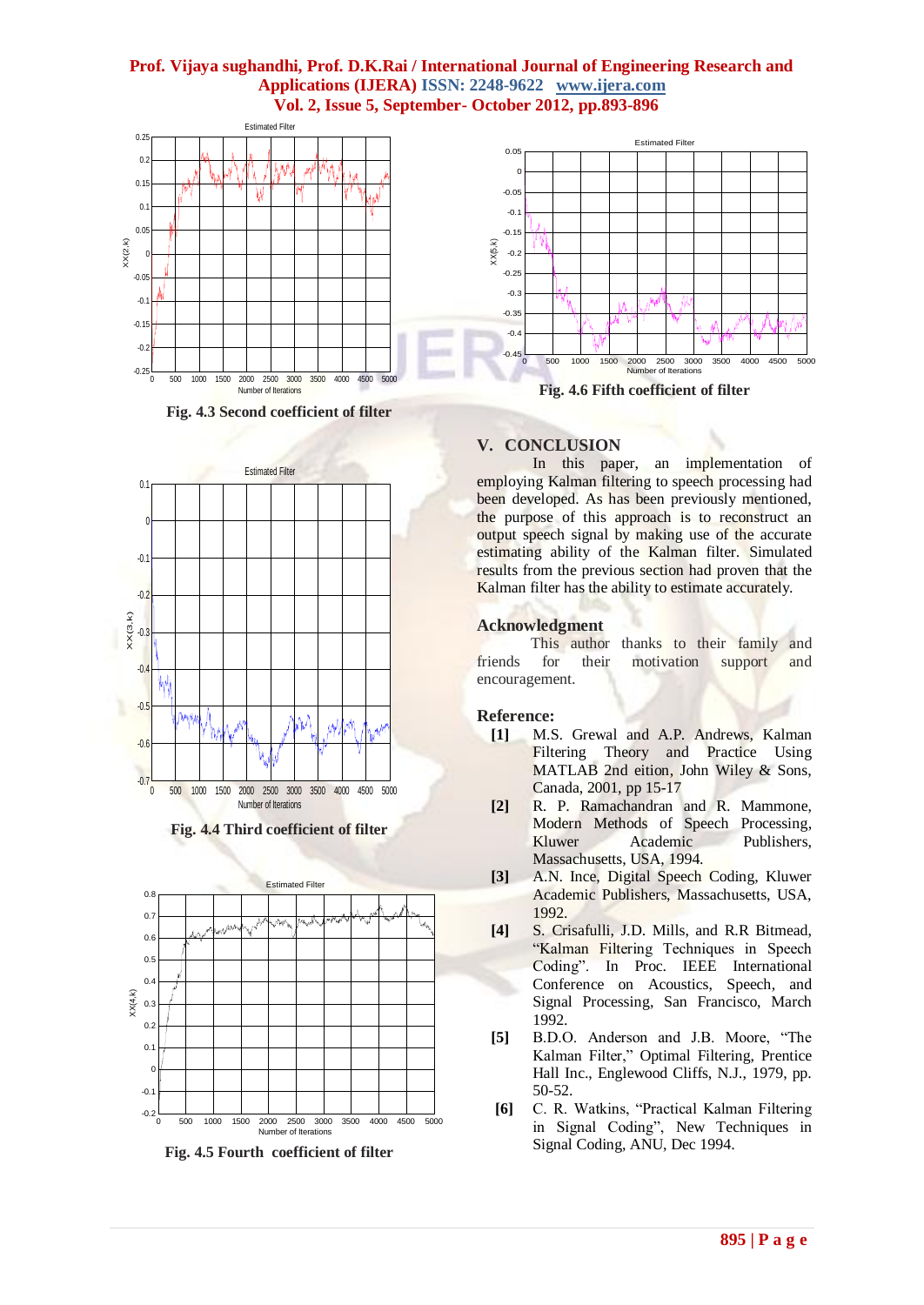## **Prof. Vijaya sughandhi, Prof. D.K.Rai / International Journal of Engineering Research and Applications (IJERA) ISSN: 2248-9622 www.ijera.com Vol. 2, Issue 5, September- October 2012, pp.893-896**



**Fig. 4.3 Second coefficient of filter**



**Fig. 4.4 Third coefficient of filter**



**Fig. 4.5 Fourth coefficient of filter**



**Fig. 4.6 Fifth coefficient of filter**

# **V. CONCLUSION**

In this paper, an implementation of employing Kalman filtering to speech processing had been developed. As has been previously mentioned, the purpose of this approach is to reconstruct an output speech signal by making use of the accurate estimating ability of the Kalman filter. Simulated results from the previous section had proven that the Kalman filter has the ability to estimate accurately.

### **Acknowledgment**

 This author thanks to their family and friends for their motivation support and encouragement.

# **Reference:**

- **[1]** M.S. Grewal and A.P. Andrews, Kalman Filtering Theory and Practice Using MATLAB 2nd eition, John Wiley & Sons, Canada, 2001, pp 15-17
- **[2]** R. P. Ramachandran and R. Mammone, Modern Methods of Speech Processing, Kluwer Academic Publishers, Massachusetts, USA, 1994.
- **[3]** A.N. Ince, Digital Speech Coding, Kluwer Academic Publishers, Massachusetts, USA, 1992.
- **[4]** S. Crisafulli, J.D. Mills, and R.R Bitmead, "Kalman Filtering Techniques in Speech Coding". In Proc. IEEE International Conference on Acoustics, Speech, and Signal Processing, San Francisco, March 1992.
- **[5]** B.D.O. Anderson and J.B. Moore, "The Kalman Filter," Optimal Filtering, Prentice Hall Inc., Englewood Cliffs, N.J., 1979, pp. 50-52.
- **[6]** C. R. Watkins, "Practical Kalman Filtering in Signal Coding", New Techniques in Signal Coding, ANU, Dec 1994.